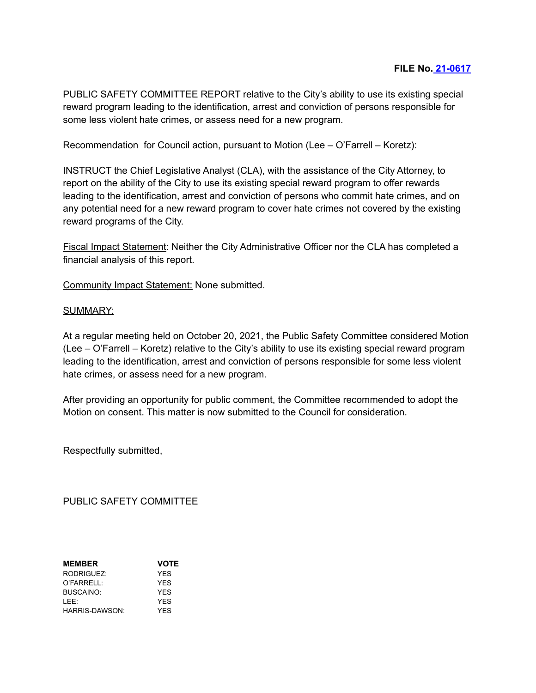PUBLIC SAFETY COMMITTEE REPORT relative to the City's ability to use its existing special reward program leading to the identification, arrest and conviction of persons responsible for some less violent hate crimes, or assess need for a new program.

Recommendation for Council action, pursuant to Motion (Lee – O'Farrell – Koretz):

INSTRUCT the Chief Legislative Analyst (CLA), with the assistance of the City Attorney, to report on the ability of the City to use its existing special reward program to offer rewards leading to the identification, arrest and conviction of persons who commit hate crimes, and on any potential need for a new reward program to cover hate crimes not covered by the existing reward programs of the City.

Fiscal Impact Statement: Neither the City Administrative Officer nor the CLA has completed a financial analysis of this report.

Community Impact Statement: None submitted.

## SUMMARY:

At a regular meeting held on October 20, 2021, the Public Safety Committee considered Motion (Lee – O'Farrell – Koretz) relative to the City's ability to use its existing special reward program leading to the identification, arrest and conviction of persons responsible for some less violent hate crimes, or assess need for a new program.

After providing an opportunity for public comment, the Committee recommended to adopt the Motion on consent. This matter is now submitted to the Council for consideration.

Respectfully submitted,

PUBLIC SAFETY COMMITTEE

| <b>VOTE</b> |
|-------------|
| <b>YFS</b>  |
| <b>YFS</b>  |
| <b>YFS</b>  |
| <b>YFS</b>  |
| <b>YFS</b>  |
|             |